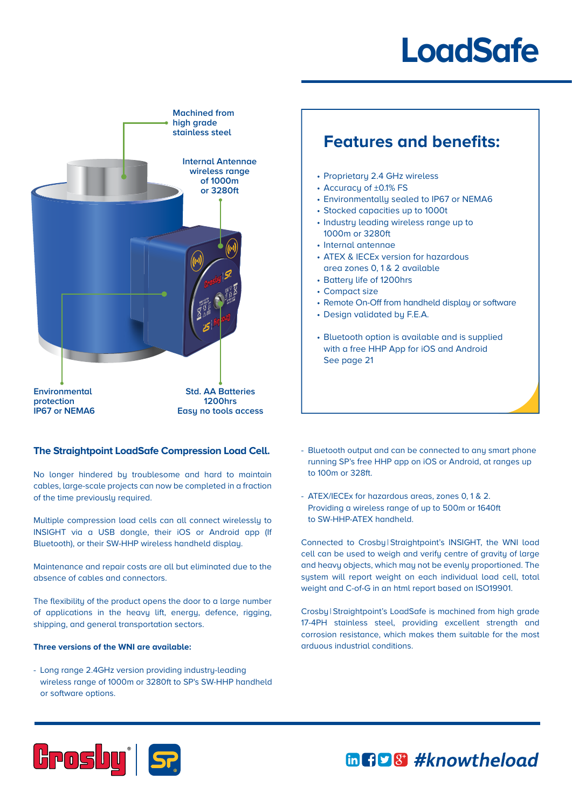## **LoadSafe**



## **The Straightpoint LoadSafe Compression Load Cell.**

No longer hindered by troublesome and hard to maintain cables, large-scale projects can now be completed in a fraction of the time previously required.

Multiple compression load cells can all connect wirelessly to INSIGHT via a USB dongle, their iOS or Android app (If Bluetooth), or their SW-HHP wireless handheld display.

Maintenance and repair costs are all but eliminated due to the absence of cables and connectors.

The flexibility of the product opens the door to a large number of applications in the heavy lift, energy, defence, rigging, shipping, and general transportation sectors.

## **Three versions of the WNI are available:**

- Long range 2.4GHz version providing industry-leading wireless range of 1000m or 3280ft to SP's SW-HHP handheld or software options.

## **Features and benefits:**

- Proprietary 2.4 GHz wireless
- Accuracy of ±0.1% FS
- Environmentally sealed to IP67 or NEMA6
- Stocked capacities up to 1000t
- Industry leading wireless range up to 1000m or 3280ft
- Internal antennae
- ATEX & IECEx version for hazardous area zones 0, 1 & 2 available
- Battery life of 1200hrs
- Compact size
- Remote On-Off from handheld display or software
- Design validated by F.E.A.
- Bluetooth option is available and is supplied with a free HHP App for iOS and Android See page 21
- Bluetooth output and can be connected to any smart phone running SP's free HHP app on iOS or Android, at ranges up to 100m or 328ft.
- ATEX/IECEx for hazardous areas, zones 0, 1 & 2. Providing a wireless range of up to 500m or 1640ft to SW-HHP-ATEX handheld.

Connected to Crosby | Straightpoint's INSIGHT, the WNI load cell can be used to weigh and verify centre of gravity of large and heavy objects, which may not be evenly proportioned. The system will report weight on each individual load cell, total weight and C-of-G in an html report based on ISO19901.

Crosby | Straightpoint's LoadSafe is machined from high grade 17-4PH stainless steel, providing excellent strength and corrosion resistance, which makes them suitable for the most arduous industrial conditions.



mng 8 #knowtheload